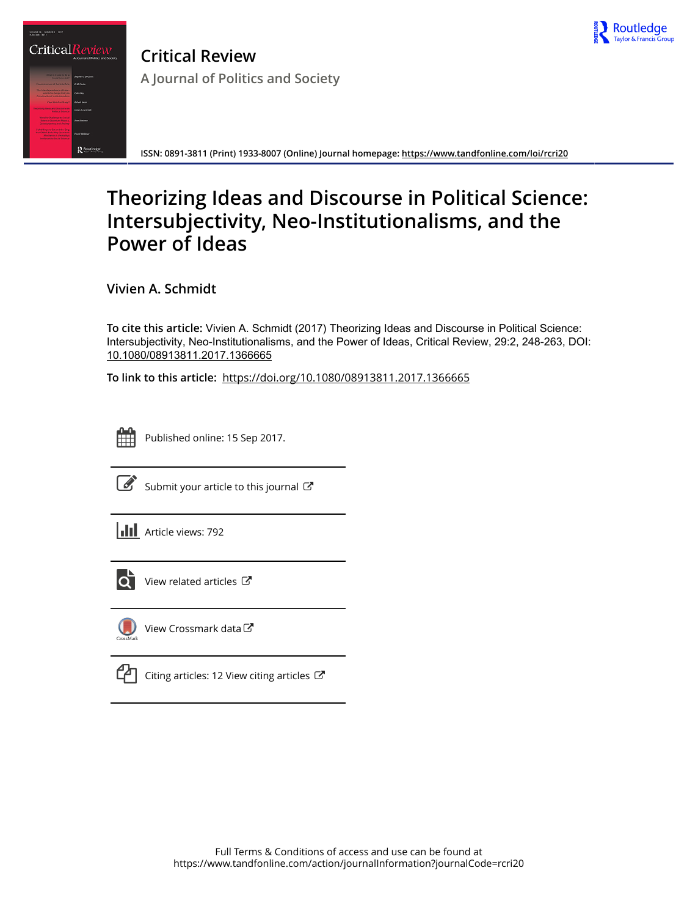

CriticalReview **Critical Review A Journal of Politics and Society**



# **Theorizing Ideas and Discourse in Political Science: Intersubjectivity, Neo-Institutionalisms, and the Power of Ideas**

**Vivien A. Schmidt**

**To cite this article:** Vivien A. Schmidt (2017) Theorizing Ideas and Discourse in Political Science: Intersubjectivity, Neo-Institutionalisms, and the Power of Ideas, Critical Review, 29:2, 248-263, DOI: [10.1080/08913811.2017.1366665](https://www.tandfonline.com/action/showCitFormats?doi=10.1080/08913811.2017.1366665)

**To link to this article:** <https://doi.org/10.1080/08913811.2017.1366665>



Published online: 15 Sep 2017.



 $\overrightarrow{S}$  [Submit your article to this journal](https://www.tandfonline.com/action/authorSubmission?journalCode=rcri20&show=instructions)  $\overrightarrow{S}$ 



 $\overline{\mathbf{C}}$  [View related articles](https://www.tandfonline.com/doi/mlt/10.1080/08913811.2017.1366665)  $\mathbf{C}$ 

[View Crossmark data](http://crossmark.crossref.org/dialog/?doi=10.1080/08913811.2017.1366665&domain=pdf&date_stamp=2017-09-15)

 $\mathbb{C}$  [Citing articles: 12 View citing articles](https://www.tandfonline.com/doi/citedby/10.1080/08913811.2017.1366665#tabModule)  $\mathbb{C}$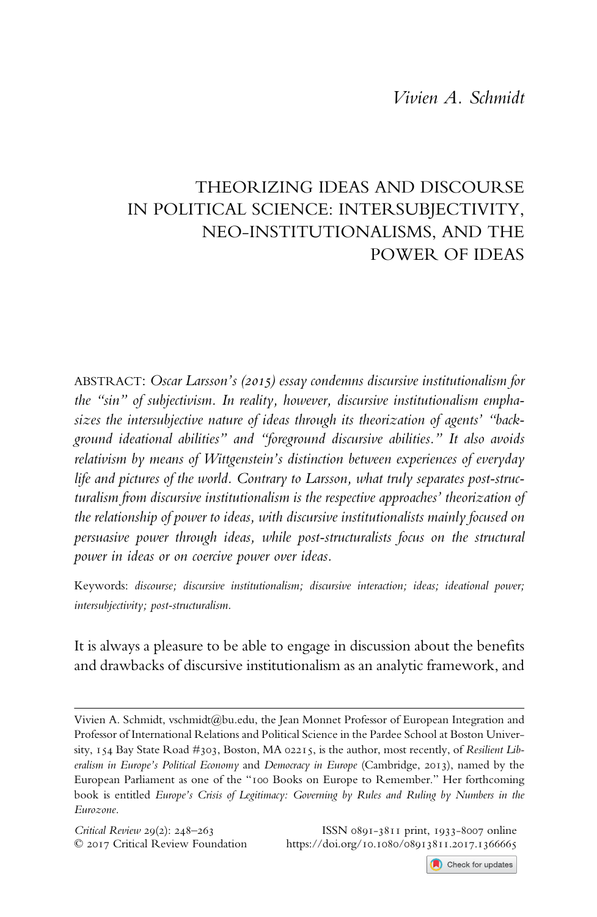## Vivien A. Schmidt

# THEORIZING IDEAS AND DISCOURSE IN POLITICAL SCIENCE: INTERSUBJECTIVITY, NEO-INSTITUTIONALISMS, AND THE POWER OF IDEAS

ABSTRACT: Oscar Larsson's (2015) essay condemns discursive institutionalism for the "sin" of subjectivism. In reality, however, discursive institutionalism emphasizes the intersubjective nature of ideas through its theorization of agents' "background ideational abilities" and "foreground discursive abilities." It also avoids relativism by means of Wittgenstein's distinction between experiences of everyday life and pictures of the world. Contrary to Larsson, what truly separates post-structuralism from discursive institutionalism is the respective approaches' theorization of the relationship of power to ideas, with discursive institutionalists mainly focused on persuasive power through ideas, while post-structuralists focus on the structural power in ideas or on coercive power over ideas.

Keywords: discourse; discursive institutionalism; discursive interaction; ideas; ideational power; intersubjectivity; post-structuralism.

It is always a pleasure to be able to engage in discussion about the benefits and drawbacks of discursive institutionalism as an analytic framework, and

Check for updates

Vivien A. Schmidt, [vschmidt@bu.edu](mailto:vschmidt@bu.edu), the Jean Monnet Professor of European Integration and Professor of International Relations and Political Science in the Pardee School at Boston University,  $154$  Bay State Road #303, Boston, MA 02215, is the author, most recently, of Resilient Liberalism in Europe's Political Economy and Democracy in Europe (Cambridge, 2013), named by the European Parliament as one of the "100 Books on Europe to Remember." Her forthcoming book is entitled Europe's Crisis of Legitimacy: Governing by Rules and Ruling by Numbers in the Eurozone.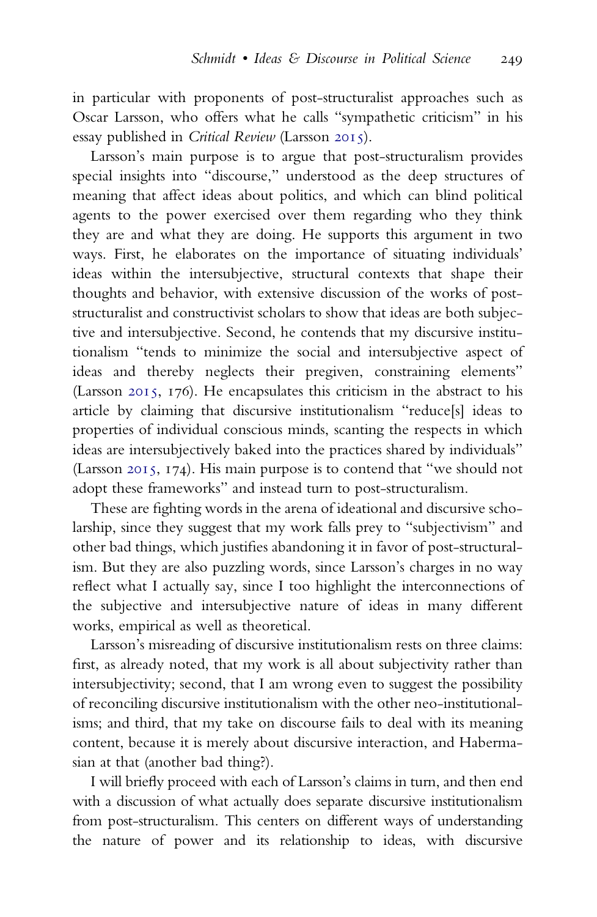<span id="page-2-0"></span>in particular with proponents of post-structuralist approaches such as Oscar Larsson, who offers what he calls "sympathetic criticism" in his essay published in Critical Review (Larsson 2015).

Larsson's main purpose is to argue that post-structuralism provides special insights into "discourse," understood as the deep structures of meaning that affect ideas about politics, and which can blind political agents to the power exercised over them regarding who they think they are and what they are doing. He supports this argument in two ways. First, he elaborates on the importance of situating individuals' ideas within the intersubjective, structural contexts that shape their thoughts and behavior, with extensive discussion of the works of poststructuralist and constructivist scholars to show that ideas are both subjective and intersubjective. Second, he contends that my discursive institutionalism "tends to minimize the social and intersubjective aspect of ideas and thereby neglects their pregiven, constraining elements" (Larsson  $2015$ ,  $176$ ). He encapsulates this criticism in the abstract to his article by claiming that discursive institutionalism "reduce[s] ideas to properties of individual conscious minds, scanting the respects in which ideas are intersubjectively baked into the practices shared by individuals" (Larsson 2015, 174). His main purpose is to contend that "we should not adopt these frameworks" and instead turn to post-structuralism.

These are fighting words in the arena of ideational and discursive scholarship, since they suggest that my work falls prey to "subjectivism" and other bad things, which justifies abandoning it in favor of post-structuralism. But they are also puzzling words, since Larsson's charges in no way reflect what I actually say, since I too highlight the interconnections of the subjective and intersubjective nature of ideas in many different works, empirical as well as theoretical.

Larsson's misreading of discursive institutionalism rests on three claims: first, as already noted, that my work is all about subjectivity rather than intersubjectivity; second, that I am wrong even to suggest the possibility of reconciling discursive institutionalism with the other neo-institutionalisms; and third, that my take on discourse fails to deal with its meaning content, because it is merely about discursive interaction, and Habermasian at that (another bad thing?).

I will briefly proceed with each of Larsson's claims in turn, and then end with a discussion of what actually does separate discursive institutionalism from post-structuralism. This centers on different ways of understanding the nature of power and its relationship to ideas, with discursive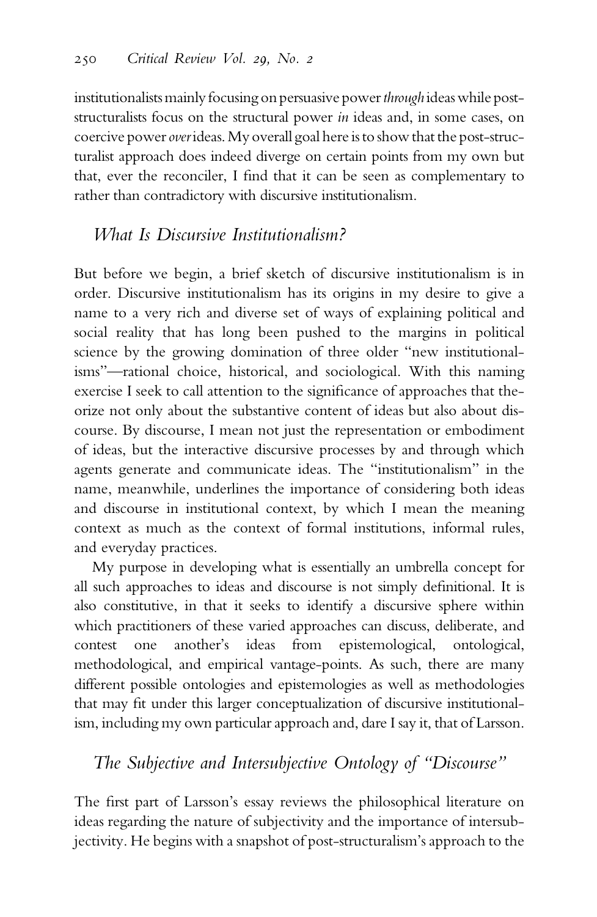institutionalists mainly focusing on persuasive power through ideas while poststructuralists focus on the structural power in ideas and, in some cases, on coercive power overideas. My overall goal here is to show that the post-structuralist approach does indeed diverge on certain points from my own but that, ever the reconciler, I find that it can be seen as complementary to rather than contradictory with discursive institutionalism.

## What Is Discursive Institutionalism?

But before we begin, a brief sketch of discursive institutionalism is in order. Discursive institutionalism has its origins in my desire to give a name to a very rich and diverse set of ways of explaining political and social reality that has long been pushed to the margins in political science by the growing domination of three older "new institutionalisms"—rational choice, historical, and sociological. With this naming exercise I seek to call attention to the significance of approaches that theorize not only about the substantive content of ideas but also about discourse. By discourse, I mean not just the representation or embodiment of ideas, but the interactive discursive processes by and through which agents generate and communicate ideas. The "institutionalism" in the name, meanwhile, underlines the importance of considering both ideas and discourse in institutional context, by which I mean the meaning context as much as the context of formal institutions, informal rules, and everyday practices.

My purpose in developing what is essentially an umbrella concept for all such approaches to ideas and discourse is not simply definitional. It is also constitutive, in that it seeks to identify a discursive sphere within which practitioners of these varied approaches can discuss, deliberate, and contest one another's ideas from epistemological, ontological, methodological, and empirical vantage-points. As such, there are many different possible ontologies and epistemologies as well as methodologies that may fit under this larger conceptualization of discursive institutionalism, including my own particular approach and, dare I say it, that of Larsson.

### The Subjective and Intersubjective Ontology of "Discourse"

The first part of Larsson's essay reviews the philosophical literature on ideas regarding the nature of subjectivity and the importance of intersubjectivity. He begins with a snapshot of post-structuralism's approach to the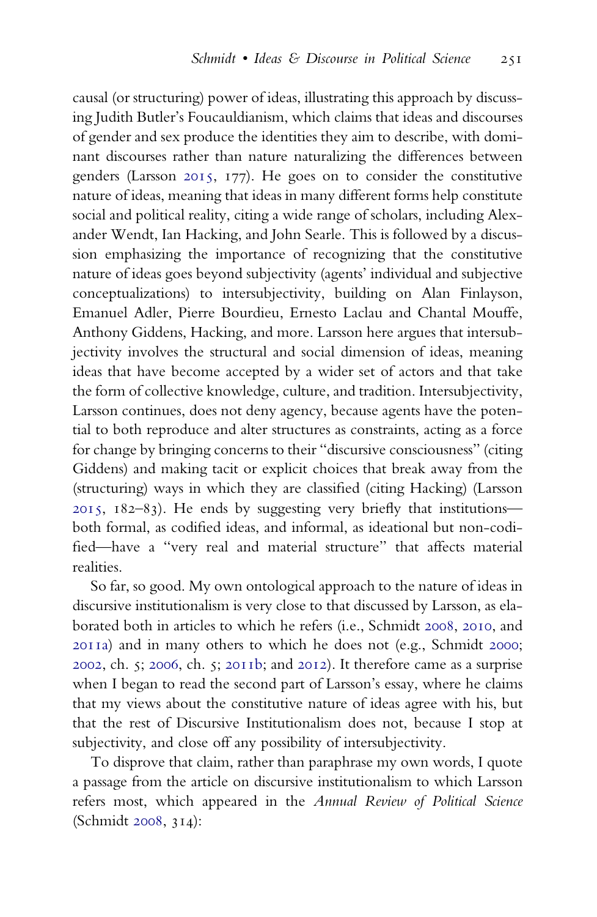<span id="page-4-0"></span>causal (or structuring) power of ideas, illustrating this approach by discussing Judith Butler's Foucauldianism, which claims that ideas and discourses of gender and sex produce the identities they aim to describe, with dominant discourses rather than nature naturalizing the differences between genders (Larsson  $2015$ ,  $177$ ). He goes on to consider the constitutive nature of ideas, meaning that ideas in many different forms help constitute social and political reality, citing a wide range of scholars, including Alexander Wendt, Ian Hacking, and John Searle. This is followed by a discussion emphasizing the importance of recognizing that the constitutive nature of ideas goes beyond subjectivity (agents' individual and subjective conceptualizations) to intersubjectivity, building on Alan Finlayson, Emanuel Adler, Pierre Bourdieu, Ernesto Laclau and Chantal Mouffe, Anthony Giddens, Hacking, and more. Larsson here argues that intersubjectivity involves the structural and social dimension of ideas, meaning ideas that have become accepted by a wider set of actors and that take the form of collective knowledge, culture, and tradition. Intersubjectivity, Larsson continues, does not deny agency, because agents have the potential to both reproduce and alter structures as constraints, acting as a force for change by bringing concerns to their "discursive consciousness" (citing Giddens) and making tacit or explicit choices that break away from the (structuring) ways in which they are classified (citing Hacking) (Larsson 2015,  $182-83$ ). He ends by suggesting very briefly that institutions both formal, as codified ideas, and informal, as ideational but non-codified—have a "very real and material structure" that affects material realities.

So far, so good. My own ontological approach to the nature of ideas in discursive institutionalism is very close to that discussed by Larsson, as elaborated both in articles to which he refers (i.e., Schmidt 2008, 2010, and 2011a) and in many others to which he does not (e.g., Schmidt 2000; 2002, ch. 5; 2006, ch. 5; 2011b; and 2012). It therefore came as a surprise when I began to read the second part of Larsson's essay, where he claims that my views about the constitutive nature of ideas agree with his, but that the rest of Discursive Institutionalism does not, because I stop at subjectivity, and close off any possibility of intersubjectivity.

To disprove that claim, rather than paraphrase my own words, I quote a passage from the article on discursive institutionalism to which Larsson refers most, which appeared in the Annual Review of Political Science (Schmidt 2008, 314):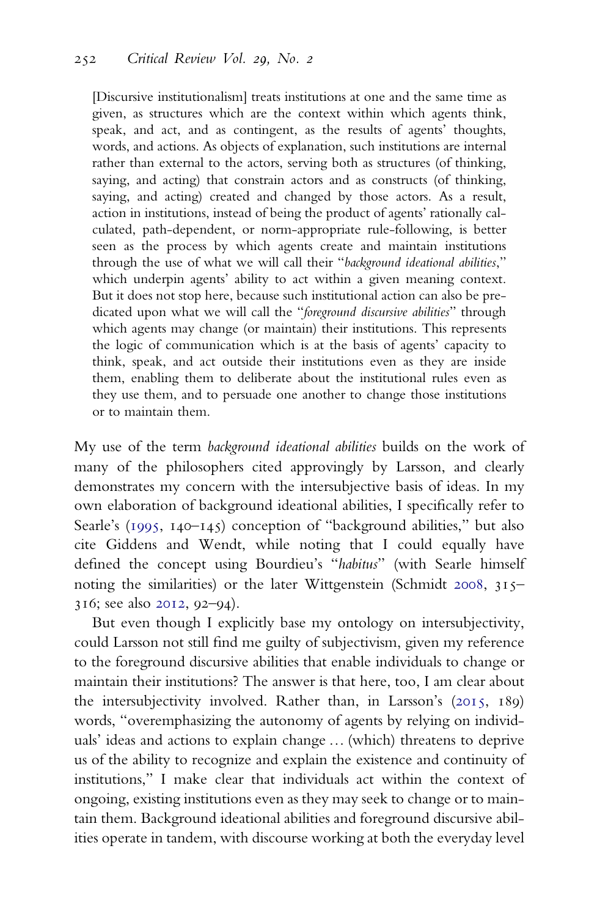<span id="page-5-0"></span>[Discursive institutionalism] treats institutions at one and the same time as given, as structures which are the context within which agents think, speak, and act, and as contingent, as the results of agents' thoughts, words, and actions. As objects of explanation, such institutions are internal rather than external to the actors, serving both as structures (of thinking, saying, and acting) that constrain actors and as constructs (of thinking, saying, and acting) created and changed by those actors. As a result, action in institutions, instead of being the product of agents' rationally calculated, path-dependent, or norm-appropriate rule-following, is better seen as the process by which agents create and maintain institutions through the use of what we will call their "background ideational abilities," which underpin agents' ability to act within a given meaning context. But it does not stop here, because such institutional action can also be predicated upon what we will call the "foreground discursive abilities" through which agents may change (or maintain) their institutions. This represents the logic of communication which is at the basis of agents' capacity to think, speak, and act outside their institutions even as they are inside them, enabling them to deliberate about the institutional rules even as they use them, and to persuade one another to change those institutions or to maintain them.

My use of the term background ideational abilities builds on the work of many of the philosophers cited approvingly by Larsson, and clearly demonstrates my concern with the intersubjective basis of ideas. In my own elaboration of background ideational abilities, I specifically refer to Searle's ( $1995$ ,  $140-145$ ) conception of "background abilities," but also cite Giddens and Wendt, while noting that I could equally have defined the concept using Bourdieu's "habitus" (with Searle himself noting the similarities) or the later Wittgenstein (Schmidt 2008,  $315 316$ ; see also 2012, 92-94).

But even though I explicitly base my ontology on intersubjectivity, could Larsson not still find me guilty of subjectivism, given my reference to the foreground discursive abilities that enable individuals to change or maintain their institutions? The answer is that here, too, I am clear about the intersubjectivity involved. Rather than, in Larsson's  $(2015, 189)$ words, "overemphasizing the autonomy of agents by relying on individuals' ideas and actions to explain change … (which) threatens to deprive us of the ability to recognize and explain the existence and continuity of institutions," I make clear that individuals act within the context of ongoing, existing institutions even as they may seek to change or to maintain them. Background ideational abilities and foreground discursive abilities operate in tandem, with discourse working at both the everyday level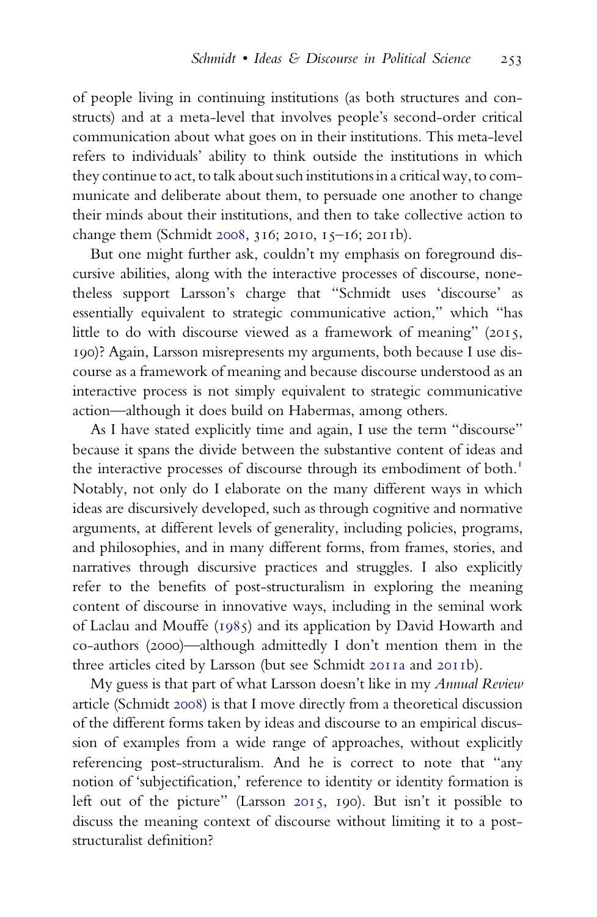<span id="page-6-0"></span>of people living in continuing institutions (as both structures and constructs) and at a meta-level that involves people's second-order critical communication about what goes on in their institutions. This meta-level refers to individuals' ability to think outside the institutions in which they continue to act, to talk about such institutions in a critical way, to communicate and deliberate about them, to persuade one another to change their minds about their institutions, and then to take collective action to change them (Schmidt 2008, 316; 2010,  $15 - 16$ ; 2011b).

But one might further ask, couldn't my emphasis on foreground discursive abilities, along with the interactive processes of discourse, nonetheless support Larsson's charge that "Schmidt uses 'discourse' as essentially equivalent to strategic communicative action," which "has little to do with discourse viewed as a framework of meaning"  $(2015, 100)$ )? Again, Larsson misrepresents my arguments, both because I use discourse as a framework of meaning and because discourse understood as an interactive process is not simply equivalent to strategic communicative action—although it does build on Habermas, among others.

As I have stated explicitly time and again, I use the term "discourse" because it spans the divide between the substantive content of ideas and the interactive processes of discourse through its embodiment of both. Notably, not only do I elaborate on the many different ways in which ideas are discursively developed, such as through cognitive and normative arguments, at different levels of generality, including policies, programs, and philosophies, and in many different forms, from frames, stories, and narratives through discursive practices and struggles. I also explicitly refer to the benefits of post-structuralism in exploring the meaning content of discourse in innovative ways, including in the seminal work of Laclau and Mouffe ( $1985$ ) and its application by David Howarth and  $co$ -authors (2000)—although admittedly I don't mention them in the three articles cited by Larsson (but see Schmidt 2011a and 2011b).

My guess is that part of what Larsson doesn't like in my Annual Review article (Schmidt 2008) is that I move directly from a theoretical discussion of the different forms taken by ideas and discourse to an empirical discussion of examples from a wide range of approaches, without explicitly referencing post-structuralism. And he is correct to note that "any notion of 'subjectification,' reference to identity or identity formation is left out of the picture" (Larsson 2015, 190). But isn't it possible to discuss the meaning context of discourse without limiting it to a poststructuralist definition?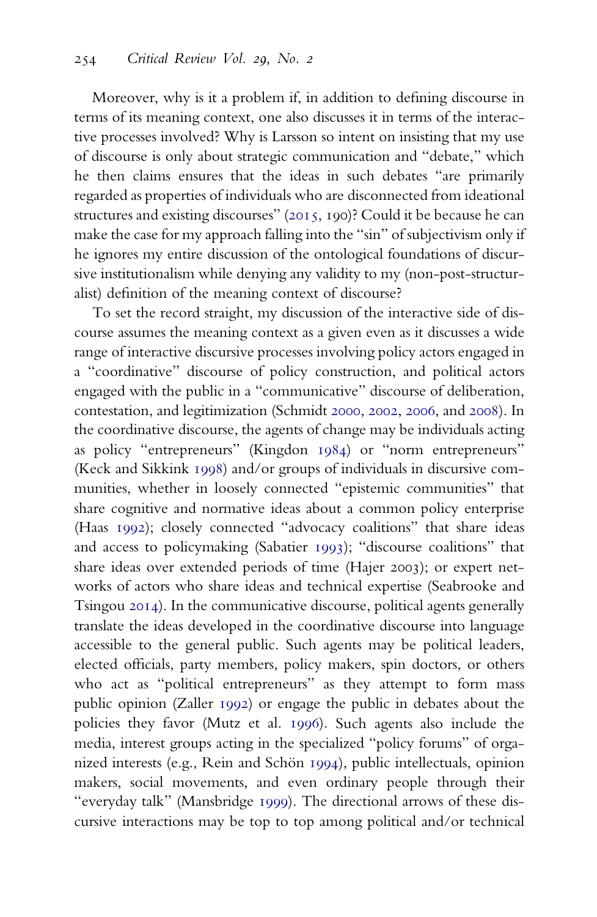<span id="page-7-0"></span>Moreover, why is it a problem if, in addition to defining discourse in terms of its meaning context, one also discusses it in terms of the interactive processes involved? Why is Larsson so intent on insisting that my use of discourse is only about strategic communication and "debate," which he then claims ensures that the ideas in such debates "are primarily regarded as properties of individuals who are disconnected from ideational structures and existing discourses" ( $2015$ , 190)? Could it be because he can make the case for my approach falling into the "sin" of subjectivism only if he ignores my entire discussion of the ontological foundations of discursive institutionalism while denying any validity to my (non-post-structuralist) definition of the meaning context of discourse?

To set the record straight, my discussion of the interactive side of discourse assumes the meaning context as a given even as it discusses a wide range of interactive discursive processes involving policy actors engaged in a "coordinative" discourse of policy construction, and political actors engaged with the public in a "communicative" discourse of deliberation, contestation, and legitimization (Schmidt 2000, 2002, 2006, and 2008). In the coordinative discourse, the agents of change may be individuals acting as policy "entrepreneurs" (Kingdon 1984) or "norm entrepreneurs" (Keck and Sikkink 1998) and/or groups of individuals in discursive communities, whether in loosely connected "epistemic communities" that share cognitive and normative ideas about a common policy enterprise (Haas 1992); closely connected "advocacy coalitions" that share ideas and access to policymaking (Sabatier 1993); "discourse coalitions" that share ideas over extended periods of time (Hajer 2003); or expert networks of actors who share ideas and technical expertise (Seabrooke and Tsingou 2014). In the communicative discourse, political agents generally translate the ideas developed in the coordinative discourse into language accessible to the general public. Such agents may be political leaders, elected officials, party members, policy makers, spin doctors, or others who act as "political entrepreneurs" as they attempt to form mass public opinion (Zaller 1992) or engage the public in debates about the policies they favor (Mutz et al. 1996). Such agents also include the media, interest groups acting in the specialized "policy forums" of organized interests (e.g., Rein and Schön 1994), public intellectuals, opinion makers, social movements, and even ordinary people through their "everyday talk" (Mansbridge 1999). The directional arrows of these discursive interactions may be top to top among political and/or technical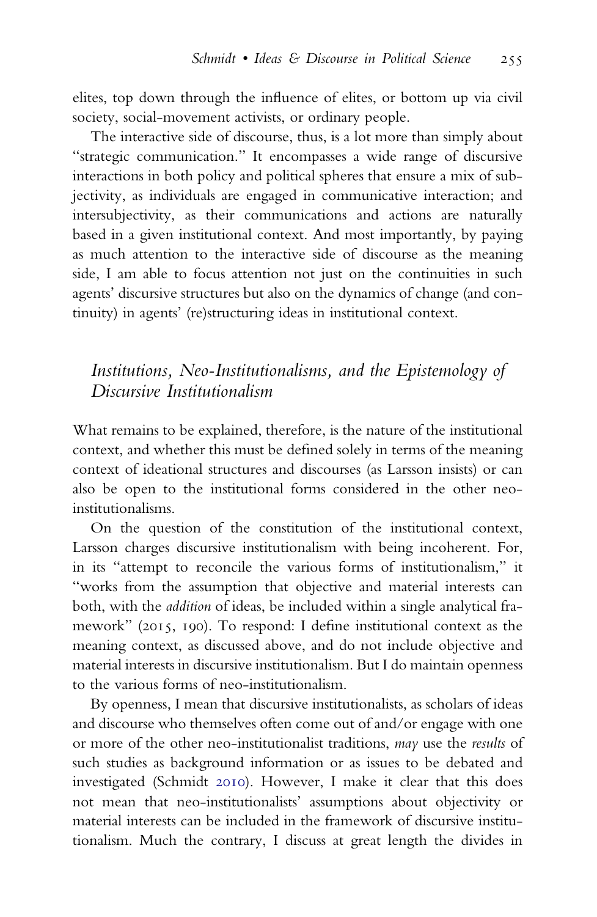elites, top down through the influence of elites, or bottom up via civil society, social-movement activists, or ordinary people.

The interactive side of discourse, thus, is a lot more than simply about "strategic communication." It encompasses a wide range of discursive interactions in both policy and political spheres that ensure a mix of subjectivity, as individuals are engaged in communicative interaction; and intersubjectivity, as their communications and actions are naturally based in a given institutional context. And most importantly, by paying as much attention to the interactive side of discourse as the meaning side, I am able to focus attention not just on the continuities in such agents' discursive structures but also on the dynamics of change (and continuity) in agents' (re)structuring ideas in institutional context.

# Institutions, Neo-Institutionalisms, and the Epistemology of Discursive Institutionalism

What remains to be explained, therefore, is the nature of the institutional context, and whether this must be defined solely in terms of the meaning context of ideational structures and discourses (as Larsson insists) or can also be open to the institutional forms considered in the other neoinstitutionalisms.

On the question of the constitution of the institutional context, Larsson charges discursive institutionalism with being incoherent. For, in its "attempt to reconcile the various forms of institutionalism," it "works from the assumption that objective and material interests can both, with the addition of ideas, be included within a single analytical framework" ( $2015$ , 190). To respond: I define institutional context as the meaning context, as discussed above, and do not include objective and material interests in discursive institutionalism. But I do maintain openness to the various forms of neo-institutionalism.

By openness, I mean that discursive institutionalists, as scholars of ideas and discourse who themselves often come out of and/or engage with one or more of the other neo-institutionalist traditions, may use the results of such studies as background information or as issues to be debated and investigated (Schmidt 2010). However, I make it clear that this does not mean that neo-institutionalists' assumptions about objectivity or material interests can be included in the framework of discursive institutionalism. Much the contrary, I discuss at great length the divides in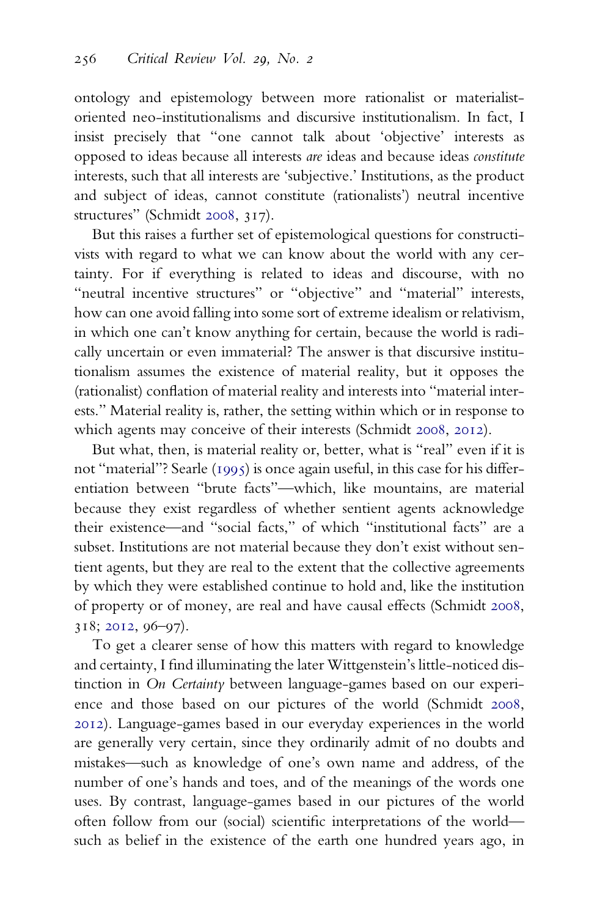ontology and epistemology between more rationalist or materialistoriented neo-institutionalisms and discursive institutionalism. In fact, I insist precisely that "one cannot talk about 'objective' interests as opposed to ideas because all interests are ideas and because ideas constitute interests, such that all interests are 'subjective.' Institutions, as the product and subject of ideas, cannot constitute (rationalists') neutral incentive structures" (Schmidt 2008, 317).

But this raises a further set of epistemological questions for constructivists with regard to what we can know about the world with any certainty. For if everything is related to ideas and discourse, with no "neutral incentive structures" or "objective" and "material" interests, how can one avoid falling into some sort of extreme idealism or relativism, in which one can't know anything for certain, because the world is radically uncertain or even immaterial? The answer is that discursive institutionalism assumes the existence of material reality, but it opposes the (rationalist) conflation of material reality and interests into "material interests." Material reality is, rather, the setting within which or in response to which agents may conceive of their interests (Schmidt 2008, 2012).

But what, then, is material reality or, better, what is "real" even if it is not "material"? Searle ( $1995$ ) is once again useful, in this case for his differentiation between "brute facts"—which, like mountains, are material because they exist regardless of whether sentient agents acknowledge their existence—and "social facts," of which "institutional facts" are a subset. Institutions are not material because they don't exist without sentient agents, but they are real to the extent that the collective agreements by which they were established continue to hold and, like the institution of property or of money, are real and have causal effects (Schmidt 2008,  $318; 2012, 96 - 97$ ).

To get a clearer sense of how this matters with regard to knowledge and certainty, I find illuminating the later Wittgenstein's little-noticed distinction in On Certainty between language-games based on our experience and those based on our pictures of the world (Schmidt 2008, ). Language-games based in our everyday experiences in the world are generally very certain, since they ordinarily admit of no doubts and mistakes—such as knowledge of one's own name and address, of the number of one's hands and toes, and of the meanings of the words one uses. By contrast, language-games based in our pictures of the world often follow from our (social) scientific interpretations of the world such as belief in the existence of the earth one hundred years ago, in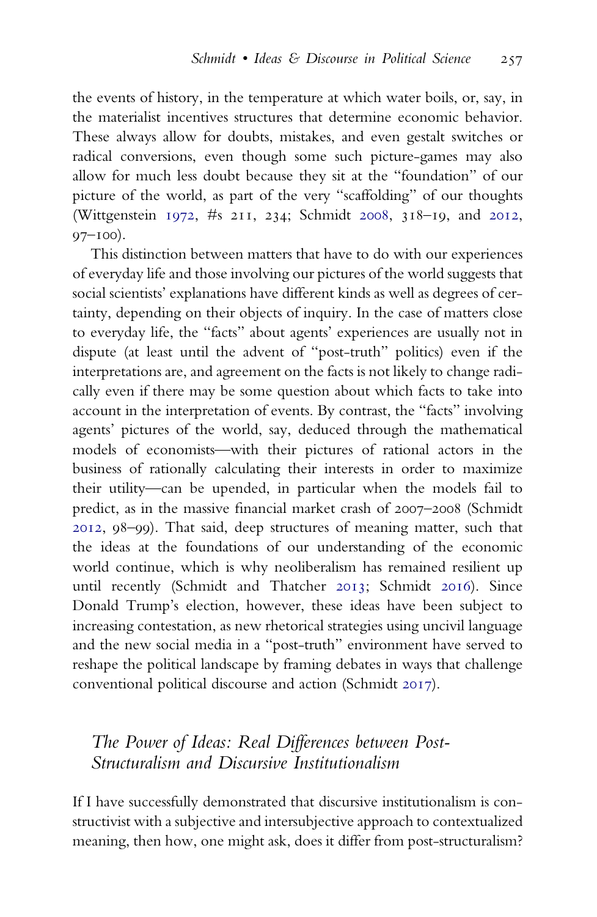<span id="page-10-0"></span>the events of history, in the temperature at which water boils, or, say, in the materialist incentives structures that determine economic behavior. These always allow for doubts, mistakes, and even gestalt switches or radical conversions, even though some such picture-games may also allow for much less doubt because they sit at the "foundation" of our picture of the world, as part of the very "scaffolding" of our thoughts (Wittgenstein 1972, #s 211, 234; Schmidt 2008, 318-19, and 2012,  $(97-100)$ .

This distinction between matters that have to do with our experiences of everyday life and those involving our pictures of the world suggests that social scientists' explanations have different kinds as well as degrees of certainty, depending on their objects of inquiry. In the case of matters close to everyday life, the "facts" about agents' experiences are usually not in dispute (at least until the advent of "post-truth" politics) even if the interpretations are, and agreement on the facts is not likely to change radically even if there may be some question about which facts to take into account in the interpretation of events. By contrast, the "facts" involving agents' pictures of the world, say, deduced through the mathematical models of economists—with their pictures of rational actors in the business of rationally calculating their interests in order to maximize their utility—can be upended, in particular when the models fail to predict, as in the massive financial market crash of 2007-2008 (Schmidt 2012, 98-99). That said, deep structures of meaning matter, such that the ideas at the foundations of our understanding of the economic world continue, which is why neoliberalism has remained resilient up until recently (Schmidt and Thatcher 2013; Schmidt 2016). Since Donald Trump's election, however, these ideas have been subject to increasing contestation, as new rhetorical strategies using uncivil language and the new social media in a "post-truth" environment have served to reshape the political landscape by framing debates in ways that challenge conventional political discourse and action (Schmidt 2017).

# The Power of Ideas: Real Differences between Post-Structuralism and Discursive Institutionalism

If I have successfully demonstrated that discursive institutionalism is constructivist with a subjective and intersubjective approach to contextualized meaning, then how, one might ask, does it differ from post-structuralism?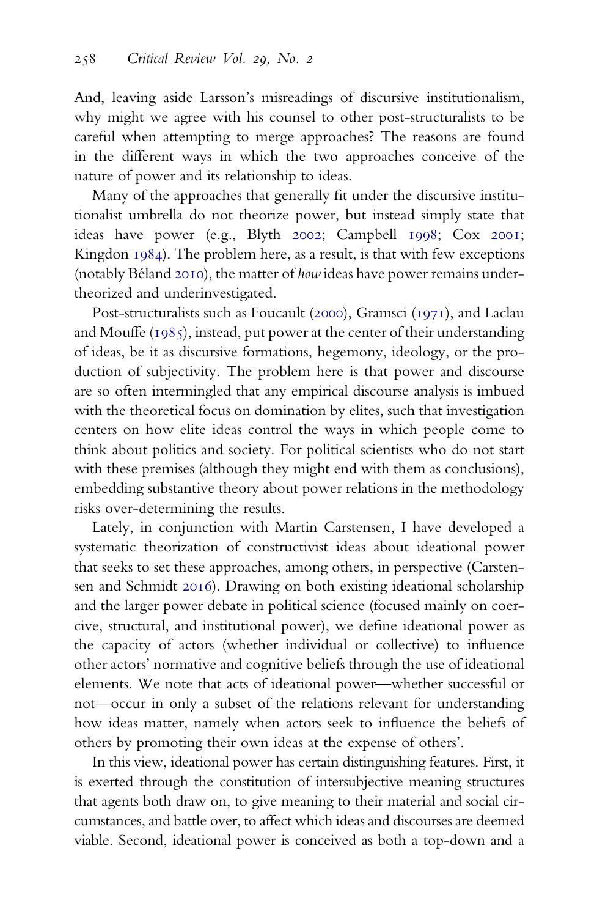<span id="page-11-0"></span>And, leaving aside Larsson's misreadings of discursive institutionalism, why might we agree with his counsel to other post-structuralists to be careful when attempting to merge approaches? The reasons are found in the different ways in which the two approaches conceive of the nature of power and its relationship to ideas.

Many of the approaches that generally fit under the discursive institutionalist umbrella do not theorize power, but instead simply state that ideas have power (e.g., Blyth 2002; Campbell 1998; Cox 2001; Kingdon  $1984$ ). The problem here, as a result, is that with few exceptions (notably Béland 2010), the matter of how ideas have power remains undertheorized and underinvestigated.

Post-structuralists such as Foucault (2000), Gramsci (1971), and Laclau and Mouffe  $(1985)$ , instead, put power at the center of their understanding of ideas, be it as discursive formations, hegemony, ideology, or the production of subjectivity. The problem here is that power and discourse are so often intermingled that any empirical discourse analysis is imbued with the theoretical focus on domination by elites, such that investigation centers on how elite ideas control the ways in which people come to think about politics and society. For political scientists who do not start with these premises (although they might end with them as conclusions), embedding substantive theory about power relations in the methodology risks over-determining the results.

Lately, in conjunction with Martin Carstensen, I have developed a systematic theorization of constructivist ideas about ideational power that seeks to set these approaches, among others, in perspective (Carstensen and Schmidt 2016). Drawing on both existing ideational scholarship and the larger power debate in political science (focused mainly on coercive, structural, and institutional power), we define ideational power as the capacity of actors (whether individual or collective) to influence other actors' normative and cognitive beliefs through the use of ideational elements. We note that acts of ideational power—whether successful or not—occur in only a subset of the relations relevant for understanding how ideas matter, namely when actors seek to influence the beliefs of others by promoting their own ideas at the expense of others'.

In this view, ideational power has certain distinguishing features. First, it is exerted through the constitution of intersubjective meaning structures that agents both draw on, to give meaning to their material and social circumstances, and battle over, to affect which ideas and discourses are deemed viable. Second, ideational power is conceived as both a top-down and a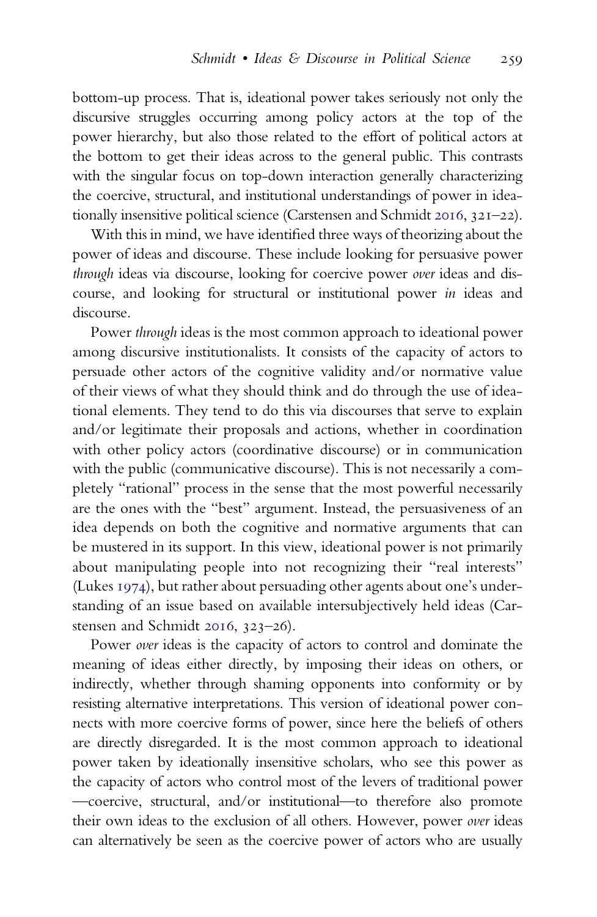<span id="page-12-0"></span>bottom-up process. That is, ideational power takes seriously not only the discursive struggles occurring among policy actors at the top of the power hierarchy, but also those related to the effort of political actors at the bottom to get their ideas across to the general public. This contrasts with the singular focus on top-down interaction generally characterizing the coercive, structural, and institutional understandings of power in ideationally insensitive political science (Carstensen and Schmidt 2016,  $321-22$ ).

With this in mind, we have identified three ways of theorizing about the power of ideas and discourse. These include looking for persuasive power through ideas via discourse, looking for coercive power over ideas and discourse, and looking for structural or institutional power in ideas and discourse.

Power through ideas is the most common approach to ideational power among discursive institutionalists. It consists of the capacity of actors to persuade other actors of the cognitive validity and/or normative value of their views of what they should think and do through the use of ideational elements. They tend to do this via discourses that serve to explain and/or legitimate their proposals and actions, whether in coordination with other policy actors (coordinative discourse) or in communication with the public (communicative discourse). This is not necessarily a completely "rational" process in the sense that the most powerful necessarily are the ones with the "best" argument. Instead, the persuasiveness of an idea depends on both the cognitive and normative arguments that can be mustered in its support. In this view, ideational power is not primarily about manipulating people into not recognizing their "real interests" (Lukes 1974), but rather about persuading other agents about one's understanding of an issue based on available intersubjectively held ideas (Carstensen and Schmidt  $2016$ ,  $323-26$ ).

Power over ideas is the capacity of actors to control and dominate the meaning of ideas either directly, by imposing their ideas on others, or indirectly, whether through shaming opponents into conformity or by resisting alternative interpretations. This version of ideational power connects with more coercive forms of power, since here the beliefs of others are directly disregarded. It is the most common approach to ideational power taken by ideationally insensitive scholars, who see this power as the capacity of actors who control most of the levers of traditional power —coercive, structural, and/or institutional—to therefore also promote their own ideas to the exclusion of all others. However, power over ideas can alternatively be seen as the coercive power of actors who are usually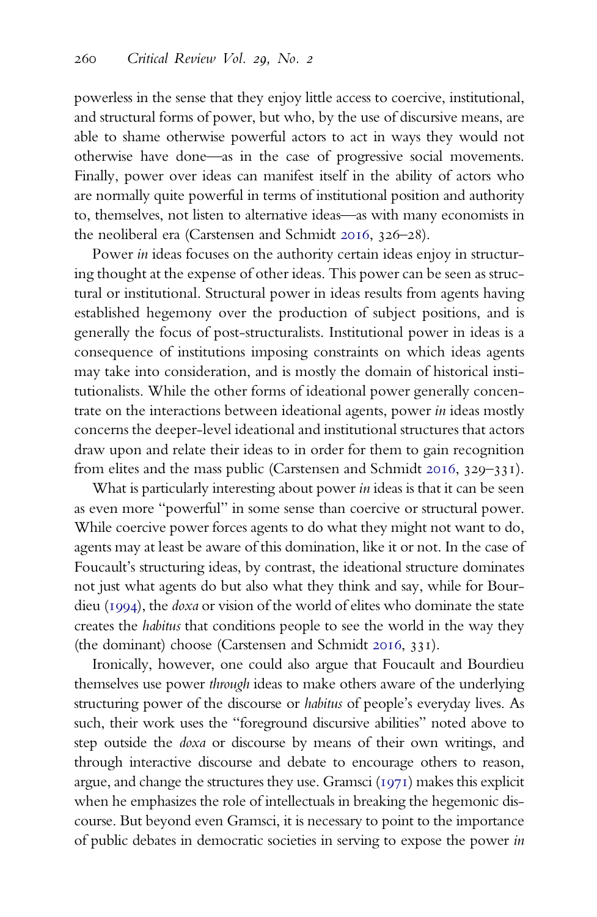<span id="page-13-0"></span>powerless in the sense that they enjoy little access to coercive, institutional, and structural forms of power, but who, by the use of discursive means, are able to shame otherwise powerful actors to act in ways they would not otherwise have done—as in the case of progressive social movements. Finally, power over ideas can manifest itself in the ability of actors who are normally quite powerful in terms of institutional position and authority to, themselves, not listen to alternative ideas—as with many economists in the neoliberal era (Carstensen and Schmidt  $2016$ ,  $326-28$ ).

Power in ideas focuses on the authority certain ideas enjoy in structuring thought at the expense of other ideas. This power can be seen as structural or institutional. Structural power in ideas results from agents having established hegemony over the production of subject positions, and is generally the focus of post-structuralists. Institutional power in ideas is a consequence of institutions imposing constraints on which ideas agents may take into consideration, and is mostly the domain of historical institutionalists. While the other forms of ideational power generally concentrate on the interactions between ideational agents, power in ideas mostly concerns the deeper-level ideational and institutional structures that actors draw upon and relate their ideas to in order for them to gain recognition from elites and the mass public (Carstensen and Schmidt 2016,  $329 - 331$ ).

What is particularly interesting about power *in* ideas is that it can be seen as even more "powerful" in some sense than coercive or structural power. While coercive power forces agents to do what they might not want to do, agents may at least be aware of this domination, like it or not. In the case of Foucault's structuring ideas, by contrast, the ideational structure dominates not just what agents do but also what they think and say, while for Bourdieu ( $1994$ ), the *doxa* or vision of the world of elites who dominate the state creates the habitus that conditions people to see the world in the way they (the dominant) choose (Carstensen and Schmidt 2016,  $331$ ).

Ironically, however, one could also argue that Foucault and Bourdieu themselves use power through ideas to make others aware of the underlying structuring power of the discourse or habitus of people's everyday lives. As such, their work uses the "foreground discursive abilities" noted above to step outside the doxa or discourse by means of their own writings, and through interactive discourse and debate to encourage others to reason, argue, and change the structures they use. Gramsci  $(1971)$  makes this explicit when he emphasizes the role of intellectuals in breaking the hegemonic discourse. But beyond even Gramsci, it is necessary to point to the importance of public debates in democratic societies in serving to expose the power in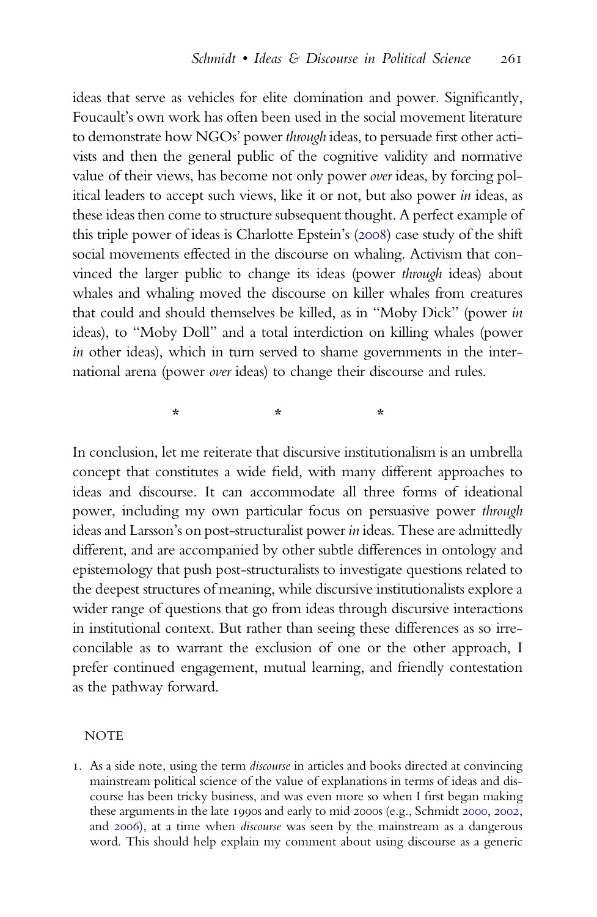<span id="page-14-0"></span>ideas that serve as vehicles for elite domination and power. Significantly, Foucault's own work has often been used in the social movement literature to demonstrate how NGOs' power through ideas, to persuade first other activists and then the general public of the cognitive validity and normative value of their views, has become not only power over ideas, by forcing political leaders to accept such views, like it or not, but also power in ideas, as these ideas then come to structure subsequent thought. A perfect example of this triple power of ideas is Charlotte Epstein's (2008) case study of the shift social movements effected in the discourse on whaling. Activism that convinced the larger public to change its ideas (power through ideas) about whales and whaling moved the discourse on killer whales from creatures that could and should themselves be killed, as in "Moby Dick" (power in ideas), to "Moby Doll" and a total interdiction on killing whales (power in other ideas), which in turn served to shame governments in the international arena (power over ideas) to change their discourse and rules.

In conclusion, let me reiterate that discursive institutionalism is an umbrella concept that constitutes a wide field, with many different approaches to ideas and discourse. It can accommodate all three forms of ideational power, including my own particular focus on persuasive power through ideas and Larsson's on post-structuralist power in ideas. These are admittedly different, and are accompanied by other subtle differences in ontology and epistemology that push post-structuralists to investigate questions related to the deepest structures of meaning, while discursive institutionalists explore a wider range of questions that go from ideas through discursive interactions in institutional context. But rather than seeing these differences as so irreconcilable as to warrant the exclusion of one or the other approach, I prefer continued engagement, mutual learning, and friendly contestation as the pathway forward.

\*\*\*

#### **NOTE**

. As a side note, using the term discourse in articles and books directed at convincing mainstream political science of the value of explanations in terms of ideas and discourse has been tricky business, and was even more so when I first began making these arguments in the late 1990s and early to mid 2000s (e.g., Schmidt 2000, 2002, and 2006), at a time when *discourse* was seen by the mainstream as a dangerous word. This should help explain my comment about using discourse as a generic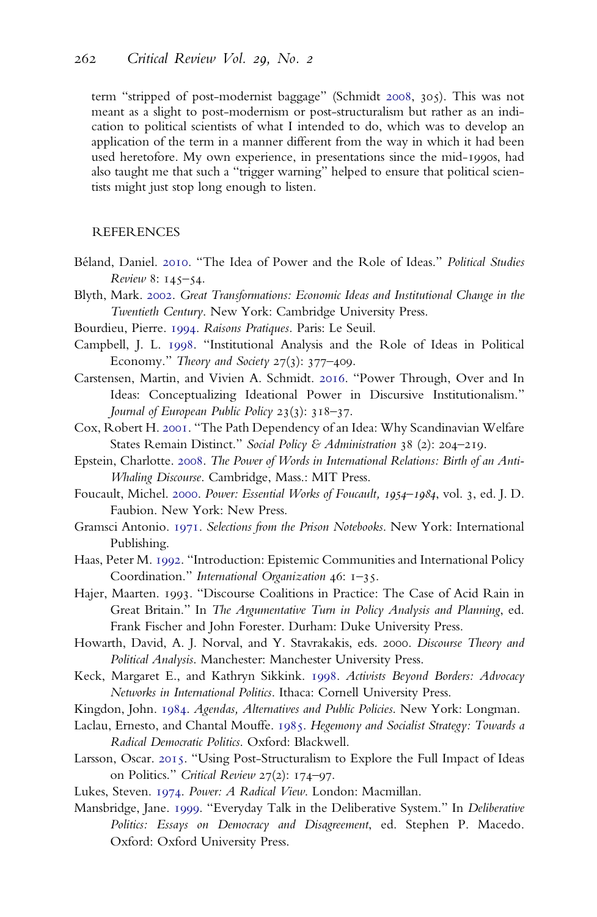<span id="page-15-0"></span>term "stripped of post-modernist baggage" (Schmidt 2008, 305). This was not meant as a slight to post-modernism or post-structuralism but rather as an indication to political scientists of what I intended to do, which was to develop an application of the term in a manner different from the way in which it had been used heretofore. My own experience, in presentations since the mid-1990s, had also taught me that such a "trigger warning" helped to ensure that political scientists might just stop long enough to listen.

#### **REFERENCES**

- Béland, Daniel. 2010. "The Idea of Power and the Role of Ideas." Political Studies Review 8: 145-54.
- Blyth, Mark. 2002. Great Transformations: Economic Ideas and Institutional Change in the Twentieth Century. New York: Cambridge University Press.
- Bourdieu, Pierre. 1994. Raisons Pratiques. Paris: Le Seuil.
- Campbell, J. L. 1998. "Institutional Analysis and the Role of Ideas in Political Economy." Theory and Society  $27(3)$ : 377–409.
- Carstensen, Martin, and Vivien A. Schmidt. 2016. "Power Through, Over and In Ideas: Conceptualizing Ideational Power in Discursive Institutionalism." Journal of European Public Policy 23(3):  $318-37$ .
- Cox, Robert H. 2001. "The Path Dependency of an Idea: Why Scandinavian Welfare States Remain Distinct." Social Policy & Administration  $38$  (2): 204-219.
- Epstein, Charlotte. 2008. The Power of Words in International Relations: Birth of an Anti-Whaling Discourse. Cambridge, Mass.: MIT Press.
- Foucault, Michel. 2000. Power: Essential Works of Foucault, 1954–1984, vol. 3, ed. J. D. Faubion. New York: New Press.
- Gramsci Antonio. 1971. Selections from the Prison Notebooks. New York: International Publishing.
- Haas, Peter M. 1992. "Introduction: Epistemic Communities and International Policy Coordination." International Organization 46:  $I = 35$ .
- Hajer, Maarten. 1993. "Discourse Coalitions in Practice: The Case of Acid Rain in Great Britain." In The Argumentative Turn in Policy Analysis and Planning, ed. Frank Fischer and John Forester. Durham: Duke University Press.
- Howarth, David, A. J. Norval, and Y. Stavrakakis, eds. 2000. Discourse Theory and Political Analysis. Manchester: Manchester University Press.
- Keck, Margaret E., and Kathryn Sikkink. 1998. Activists Beyond Borders: Advocacy Networks in International Politics. Ithaca: Cornell University Press.
- Kingdon, John. 1984. Agendas, Alternatives and Public Policies. New York: Longman.
- Laclau, Ernesto, and Chantal Mouffe. 1985. Hegemony and Socialist Strategy: Towards a Radical Democratic Politics. Oxford: Blackwell.
- Larsson, Oscar. 2015. "Using Post-Structuralism to Explore the Full Impact of Ideas on Politics." Critical Review 27(2): 174-97.
- Lukes, Steven. 1974. Power: A Radical View. London: Macmillan.
- Mansbridge, Jane. 1999. "Everyday Talk in the Deliberative System." In Deliberative Politics: Essays on Democracy and Disagreement, ed. Stephen P. Macedo. Oxford: Oxford University Press.